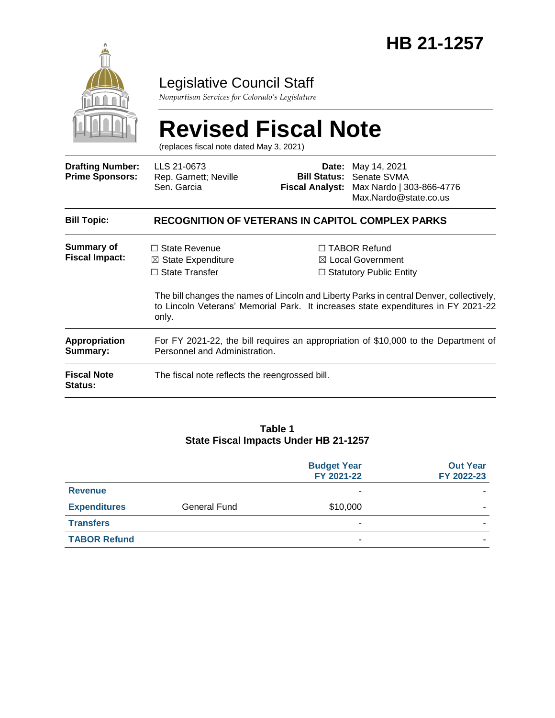

## Legislative Council Staff

*Nonpartisan Services for Colorado's Legislature*

#### **Revised Fiscal Note** (replaces fiscal note dated May 3, 2021) **Drafting Number: Prime Sponsors:** LLS 21-0673 Rep. Garnett; Neville Sen. Garcia **Date:** May 14, 2021 **Bill Status:** Senate SVMA **Fiscal Analyst:** Max Nardo | 303-866-4776 Max.Nardo@state.co.us **Bill Topic: RECOGNITION OF VETERANS IN CAPITOL COMPLEX PARKS Summary of Fiscal Impact:** □ State Revenue ☒ State Expenditure ☐ State Transfer ☐ TABOR Refund ☒ Local Government □ Statutory Public Entity The bill changes the names of Lincoln and Liberty Parks in central Denver, collectively, to Lincoln Veterans' Memorial Park. It increases state expenditures in FY 2021-22 only. **Appropriation Summary:** For FY 2021-22, the bill requires an appropriation of \$10,000 to the Department of Personnel and Administration.

**Fiscal Note Status:** The fiscal note reflects the reengrossed bill.

#### **Table 1 State Fiscal Impacts Under HB 21-1257**

|                     |                     | <b>Budget Year</b><br>FY 2021-22 | <b>Out Year</b><br>FY 2022-23 |
|---------------------|---------------------|----------------------------------|-------------------------------|
| <b>Revenue</b>      |                     |                                  |                               |
| <b>Expenditures</b> | <b>General Fund</b> | \$10,000                         |                               |
| <b>Transfers</b>    |                     |                                  |                               |
| <b>TABOR Refund</b> |                     | -                                |                               |